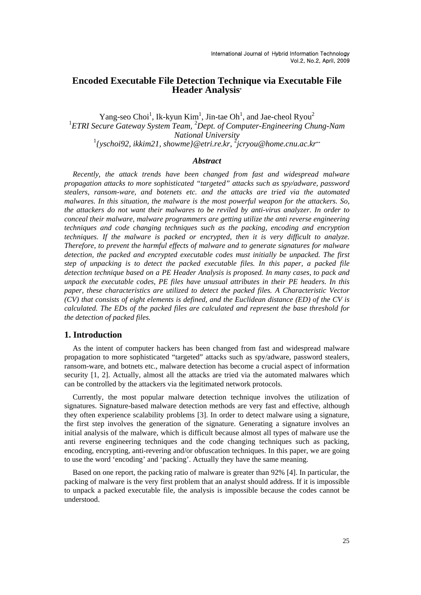# **Encoded Executable File Detection Technique via Executable File Header Analysis\***

Yang-seo Choi<sup>1</sup>, Ik-kyun Kim<sup>1</sup>, Jin-tae Oh<sup>1</sup>, and Jae-cheol Ryou<sup>2</sup> <sup>1</sup> ETRI Secure Gateway System Team, <sup>2</sup> Dept. of Computer-Engineering Chung-Nam *National University*<br><sup>1</sup>{yschoi92, ikkim21, showme}@etri.re.kr, <sup>2</sup>jcryou@home.cnu.ac.kr<sup>\*\*</sup>

## *Abstract*

*Recently, the attack trends have been changed from fast and widespread malware propagation attacks to more sophisticated "targeted" attacks such as spy/adware, password stealers, ransom-ware, and botenets etc. and the attacks are tried via the automated malwares. In this situation, the malware is the most powerful weapon for the attackers. So, the attackers do not want their malwares to be reviled by anti-virus analyzer. In order to conceal their malware, malware programmers are getting utilize the anti reverse engineering techniques and code changing techniques such as the packing, encoding and encryption techniques. If the malware is packed or encrypted, then it is very difficult to analyze. Therefore, to prevent the harmful effects of malware and to generate signatures for malware*  detection, the packed and encrypted executable codes must initially be unpacked. The first *step of unpacking is to detect the packed executable files. In this paper, a packed file detection technique based on a PE Header Analysis is proposed. In many cases, to pack and unpack the executable codes, PE files have unusual attributes in their PE headers. In this paper, these characteristics are utilized to detect the packed files. A Characteristic Vector (CV) that consists of eight elements is defined, and the Euclidean distance (ED) of the CV is calculated. The EDs of the packed files are calculated and represent the base threshold for the detection of packed files.* 

### **1. Introduction**

As the intent of computer hackers has been changed from fast and widespread malware propagation to more sophisticated "targeted" attacks such as spy/adware, password stealers, ransom-ware, and botnets etc., malware detection has become a crucial aspect of information security [1, 2]. Actually, almost all the attacks are tried via the automated malwares which can be controlled by the attackers via the legitimated network protocols.

Currently, the most popular malware detection technique involves the utilization of signatures. Signature-based malware detection methods are very fast and effective, although they often experience scalability problems [3]. In order to detect malware using a signature, the first step involves the generation of the signature. Generating a signature involves an initial analysis of the malware, which is difficult because almost all types of malware use the anti reverse engineering techniques and the code changing techniques such as packing, encoding, encrypting, anti-revering and/or obfuscation techniques. In this paper, we are going to use the word 'encoding' and 'packing'. Actually they have the same meaning.

Based on one report, the packing ratio of malware is greater than 92% [4]. In particular, the packing of malware is the very first problem that an analyst should address. If it is impossible to unpack a packed executable file, the analysis is impossible because the codes cannot be understood.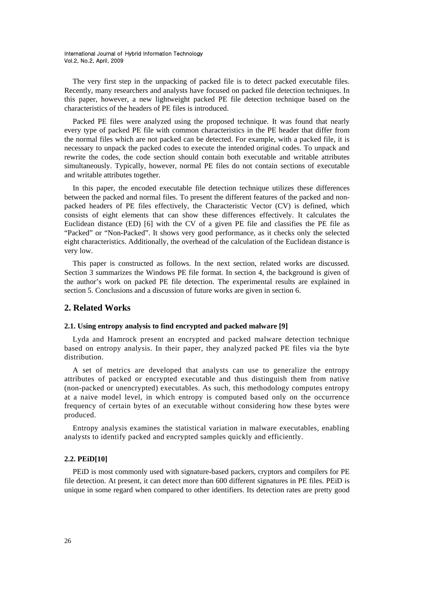The very first step in the unpacking of packed file is to detect packed executable files. Recently, many researchers and analysts have focused on packed file detection techniques. In this paper, however, a new lightweight packed PE file detection technique based on the characteristics of the headers of PE files is introduced.

Packed PE files were analyzed using the proposed technique. It was found that nearly every type of packed PE file with common characteristics in the PE header that differ from the normal files which are not packed can be detected. For example, with a packed file, it is necessary to unpack the packed codes to execute the intended original codes. To unpack and rewrite the codes, the code section should contain both executable and writable attributes simultaneously. Typically, however, normal PE files do not contain sections of executable and writable attributes together.

In this paper, the encoded executable file detection technique utilizes these differences between the packed and normal files. To present the different features of the packed and nonpacked headers of PE files effectively, the Characteristic Vector (CV) is defined, which consists of eight elements that can show these differences effectively. It calculates the Euclidean distance (ED) [6] with the CV of a given PE file and classifies the PE file as "Packed" or "Non-Packed". It shows very good performance, as it checks only the selected eight characteristics. Additionally, the overhead of the calculation of the Euclidean distance is very low.

This paper is constructed as follows. In the next section, related works are discussed. Section 3 summarizes the Windows PE file format. In section 4, the background is given of the author's work on packed PE file detection. The experimental results are explained in section 5. Conclusions and a discussion of future works are given in section 6.

# **2. Related Works**

### **2.1. Using entropy analysis to find encrypted and packed malware [9]**

Lyda and Hamrock present an encrypted and packed malware detection technique based on entropy analysis. In their paper, they analyzed packed PE files via the byte distribution.

A set of metrics are developed that analysts can use to generalize the entropy attributes of packed or encrypted executable and thus distinguish them from native (non-packed or unencrypted) executables. As such, this methodology computes entropy at a naive model level, in which entropy is computed based only on the occurrence frequency of certain bytes of an executable without considering how these bytes were produced.

Entropy analysis examines the statistical variation in malware executables, enabling analysts to identify packed and encrypted samples quickly and efficiently.

### **2.2. PEiD[10]**

PEiD is most commonly used with signature-based packers, cryptors and compilers for PE file detection. At present, it can detect more than 600 different signatures in PE files. PEiD is unique in some regard when compared to other identifiers. Its detection rates are pretty good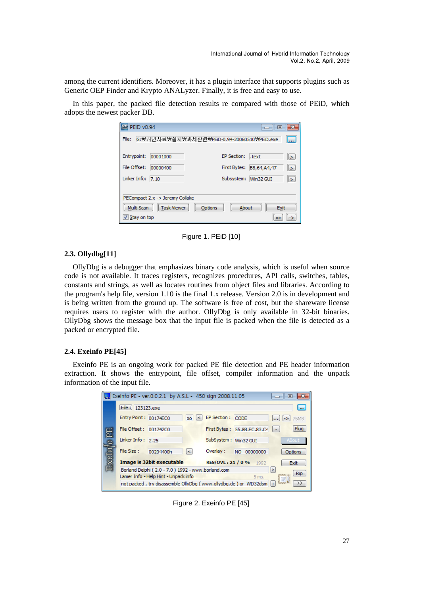among the current identifiers. Moreover, it has a plugin interface that supports plugins such as Generic OEP Finder and Krypto ANALyzer. Finally, it is free and easy to use.

In this paper, the packed file detection results re compared with those of PEiD, which adopts the newest packer DB.

| <b>WH</b> PEID v0.94                                                                                      |          | l o                      |               |  |
|-----------------------------------------------------------------------------------------------------------|----------|--------------------------|---------------|--|
| G:₩개인자료₩설치₩과제관련₩PEiD-0.94-20060510₩PEiD.exe<br>File:<br>المعقبا                                           |          |                          |               |  |
| Entrypoint:                                                                                               | 00001000 | EP Section:<br>.text     | l>.           |  |
| File Offset:                                                                                              | 00000400 | First Bytes: B8,64,A4,47 | l>.           |  |
| Linker Info: 7.10                                                                                         |          | Subsystem: Win32 GUI     | $\rightarrow$ |  |
| PECompact 2.x -> Jeremy Collake<br>Task Viewer<br>Multi Scan<br>About<br>Options<br>Exit<br>V Stay on top |          |                          |               |  |

Figure 1. PEiD [10]

### **2.3. Ollydbg[11]**

OllyDbg is a debugger that emphasizes binary code analysis, which is useful when source code is not available. It traces registers, recognizes procedures, API calls, switches, tables, constants and strings, as well as locates routines from object files and libraries. According to the program's help file, version 1.10 is the final 1.x release. Version 2.0 is in development and is being written from the ground up. The software is free of cost, but the shareware license requires users to register with the author. OllyDbg is only available in 32-bit binaries. OllyDbg shows the message box that the input file is packed when the file is detected as a packed or encrypted file.

## **2.4. Exeinfo PE[45]**

Exeinfo PE is an ongoing work for packed PE file detection and PE header information extraction. It shows the entrypoint, file offset, compiler information and the unpack information of the input file.

|                                                                             | Exeinfo PE - ver.0.0.2.1 by A.S.L - 450 sign 2008.11.05          | $=$                                   |  |  |  |
|-----------------------------------------------------------------------------|------------------------------------------------------------------|---------------------------------------|--|--|--|
|                                                                             | File: 123123.exe                                                 | $\sim$                                |  |  |  |
|                                                                             | Entry Point: 00174EC0<br>00 <sup>1</sup>                         | EP Section : CODE<br>75MB<br>$\cdots$ |  |  |  |
|                                                                             | File Offset: 001742C0                                            | Plug<br>First Bytes: 55.8B.EC.83.C4   |  |  |  |
|                                                                             | Linker Info: $2.25$                                              | SubSystem: Win32 GUI<br><b>ABout</b>  |  |  |  |
|                                                                             | File Size:<br>00204400h<br>≺∣                                    | Overlay:<br>NO 00000000<br>Options    |  |  |  |
|                                                                             | <b>Image is 32bit executable</b>                                 | RES/OVL: 21 / 0 % 1992<br>Exit        |  |  |  |
| Borland Delphi (2.0 - 7.0) 1992 - www.borland.com                           |                                                                  |                                       |  |  |  |
|                                                                             | <b>Rip</b><br>Lamer Info - Help Hint - Unpack info<br>5 ms.<br>掌 |                                       |  |  |  |
| ထော<br>not packed, try disassemble OllyDbg (www.ollydbg.de) or WD32dsm<br>> |                                                                  |                                       |  |  |  |

Figure 2. Exeinfo PE [45]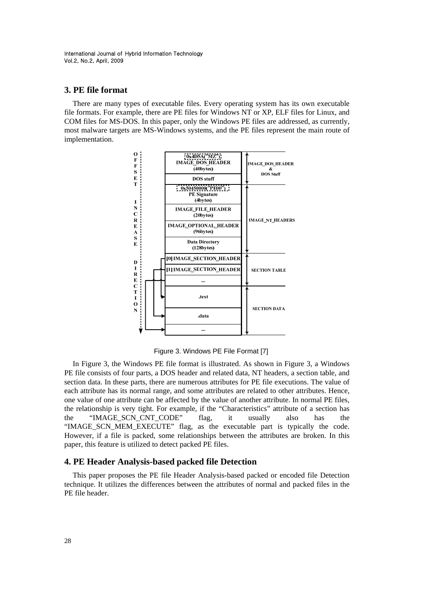# **3. PE file format**

There are many types of executable files. Every operating system has its own executable file formats. For example, there are PE files for Windows NT or XP, ELF files for Linux, and COM files for MS-DOS. In this paper, only the Windows PE files are addressed, as currently, most malware targets are MS-Windows systems, and the PE files represent the main route of implementation.



Figure 3. Windows PE File Format [7]

In Figure 3, the Windows PE file format is illustrated. As shown in Figure 3, a Windows PE file consists of four parts, a DOS header and related data, NT headers, a section table, and section data. In these parts, there are numerous attributes for PE file executions. The value of each attribute has its normal range, and some attributes are related to other attributes. Hence, one value of one attribute can be affected by the value of another attribute. In normal PE files, the relationship is very tight. For example, if the "Characteristics" attribute of a section has the "IMAGE\_SCN\_CNT\_CODE" flag, it usually also has the "IMAGE\_SCN\_MEM\_EXECUTE" flag, as the executable part is typically the code. However, if a file is packed, some relationships between the attributes are broken. In this paper, this feature is utilized to detect packed PE files.

# **4. PE Header Analysis-based packed file Detection**

This paper proposes the PE file Header Analysis-based packed or encoded file Detection technique. It utilizes the differences between the attributes of normal and packed files in the PE file header.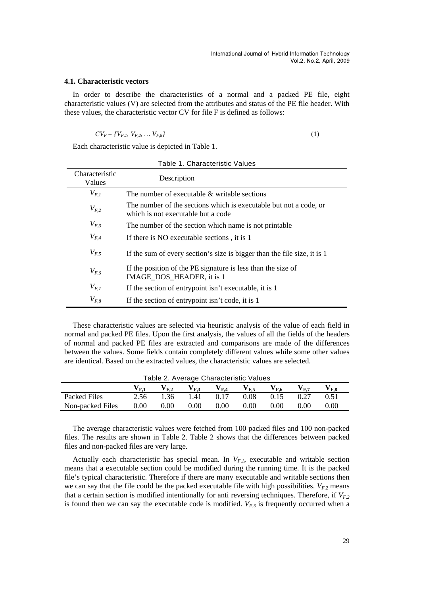### **4.1. Characteristic vectors**

In order to describe the characteristics of a normal and a packed PE file, eight characteristic values (V) are selected from the attributes and status of the PE file header. With these values, the characteristic vector CV for file F is defined as follows:

$$
CV_F = \{V_{F,1}, V_{F,2}, \dots V_{F,8}\}\tag{1}
$$

Each characteristic value is depicted in Table 1.

| Table 1. Characteristic Values |                                                                                                         |  |  |  |
|--------------------------------|---------------------------------------------------------------------------------------------------------|--|--|--|
| Characteristic<br>Values       | Description                                                                                             |  |  |  |
| $V_{F,I}$                      | The number of executable $\&$ writable sections                                                         |  |  |  |
| $V_{F,2}$                      | The number of the sections which is executable but not a code, or<br>which is not executable but a code |  |  |  |
| $V_{F,3}$                      | The number of the section which name is not printable                                                   |  |  |  |
| $V_{F,4}$                      | If there is NO executable sections, it is 1                                                             |  |  |  |
| $V_{F,5}$                      | If the sum of every section's size is bigger than the file size, it is 1                                |  |  |  |
| $V_{F,6}$                      | If the position of the PE signature is less than the size of<br>IMAGE_DOS_HEADER, it is 1               |  |  |  |
| $V_{F,7}$                      | If the section of entrypoint isn't executable, it is 1                                                  |  |  |  |
| $V_{F,8}$                      | If the section of entrypoint isn't code, it is 1                                                        |  |  |  |

These characteristic values are selected via heuristic analysis of the value of each field in normal and packed PE files. Upon the first analysis, the values of all the fields of the headers of normal and packed PE files are extracted and comparisons are made of the differences between the values. Some fields contain completely different values while some other values are identical. Based on the extracted values, the characteristic values are selected.

| Table 2. Average Characteristic Values |                                 |                           |                   |          |                             |                 |
|----------------------------------------|---------------------------------|---------------------------|-------------------|----------|-----------------------------|-----------------|
|                                        |                                 | ${\bf V_{F.4}}$           | $V_{F.5}$         | $V_{FA}$ | $\mathbf{V}_{\mathbf{F}}$ 7 | ${\bf V_{F.8}}$ |
|                                        |                                 | 0.17                      | 0.08              | 0.15     | 0.27                        | 0.51            |
|                                        | 0.00                            | 0.00                      | 0.00              | 0.00     | 0.00                        | 0.00            |
|                                        | ${\bf v_{F.1}}$<br>2.56<br>0.00 | $V_{F,2}$<br>1.36<br>0.00 | $V_{F,3}$<br>1.41 |          |                             |                 |

The average characteristic values were fetched from 100 packed files and 100 non-packed files. The results are shown in Table 2. Table 2 shows that the differences between packed files and non-packed files are very large.

Actually each characteristic has special mean. In  $V_{F,l}$ , executable and writable section means that a executable section could be modified during the running time. It is the packed file's typical characteristic. Therefore if there are many executable and writable sections then we can say that the file could be the packed executable file with high possibilities.  $V_{F,2}$  means that a certain section is modified intentionally for anti reversing techniques. Therefore, if  $V_{F,2}$ is found then we can say the executable code is modified.  $V_{F,3}$  is frequently occurred when a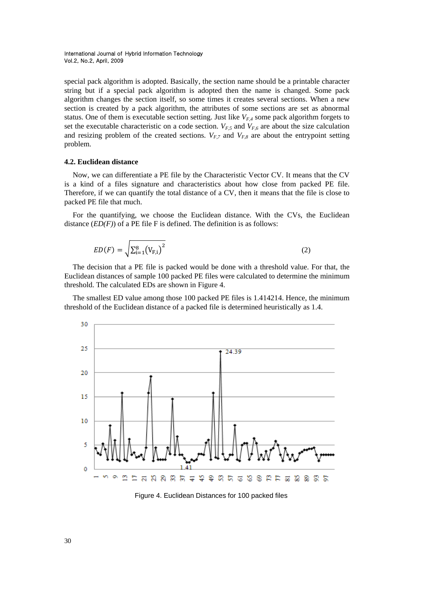special pack algorithm is adopted. Basically, the section name should be a printable character string but if a special pack algorithm is adopted then the name is changed. Some pack algorithm changes the section itself, so some times it creates several sections. When a new section is created by a pack algorithm, the attributes of some sections are set as abnormal status. One of them is executable section setting. Just like  $V_{FA}$  some pack algorithm forgets to set the executable characteristic on a code section.  $V_{F,5}$  and  $V_{F,6}$  are about the size calculation and resizing problem of the created sections.  $V_{F,7}$  and  $V_{F,8}$  are about the entrypoint setting problem.

### **4.2. Euclidean distance**

Now, we can differentiate a PE file by the Characteristic Vector CV. It means that the CV is a kind of a files signature and characteristics about how close from packed PE file. Therefore, if we can quantify the total distance of a CV, then it means that the file is close to packed PE file that much.

For the quantifying, we choose the Euclidean distance. With the CVs, the Euclidean distance (*ED(F)*) of a PE file F is defined. The definition is as follows:

$$
ED(F) = \sqrt{\sum_{i=1}^{8} (V_{F,i})^{2}}
$$
 (2)

The decision that a PE file is packed would be done with a threshold value. For that, the Euclidean distances of sample 100 packed PE files were calculated to determine the minimum threshold. The calculated EDs are shown in Figure 4.

The smallest ED value among those 100 packed PE files is 1.414214. Hence, the minimum threshold of the Euclidean distance of a packed file is determined heuristically as 1.4.



Figure 4. Euclidean Distances for 100 packed files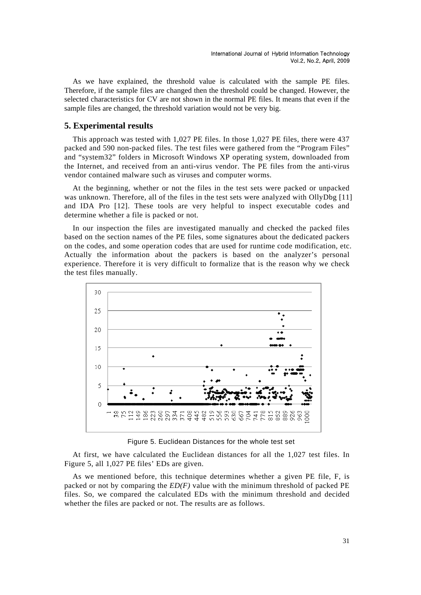As we have explained, the threshold value is calculated with the sample PE files. Therefore, if the sample files are changed then the threshold could be changed. However, the selected characteristics for CV are not shown in the normal PE files. It means that even if the sample files are changed, the threshold variation would not be very big.

## **5. Experimental results**

This approach was tested with 1,027 PE files. In those 1,027 PE files, there were 437 packed and 590 non-packed files. The test files were gathered from the "Program Files" and "system32" folders in Microsoft Windows XP operating system, downloaded from the Internet, and received from an anti-virus vendor. The PE files from the anti-virus vendor contained malware such as viruses and computer worms.

At the beginning, whether or not the files in the test sets were packed or unpacked was unknown. Therefore, all of the files in the test sets were analyzed with OllyDbg [11] and IDA Pro [12]. These tools are very helpful to inspect executable codes and determine whether a file is packed or not.

In our inspection the files are investigated manually and checked the packed files based on the section names of the PE files, some signatures about the dedicated packers on the codes, and some operation codes that are used for runtime code modification, etc. Actually the information about the packers is based on the analyzer's personal experience. Therefore it is very difficult to formalize that is the reason why we check the test files manually.



Figure 5. Euclidean Distances for the whole test set

At first, we have calculated the Euclidean distances for all the 1,027 test files. In Figure 5, all 1,027 PE files' EDs are given.

As we mentioned before, this technique determines whether a given PE file, F, is packed or not by comparing the *ED(F)* value with the minimum threshold of packed PE files. So, we compared the calculated EDs with the minimum threshold and decided whether the files are packed or not. The results are as follows.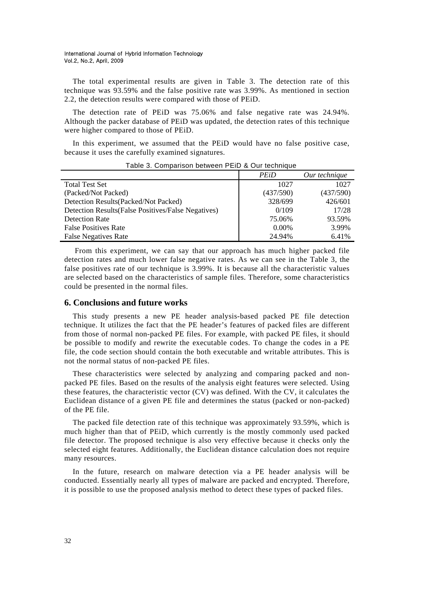The total experimental results are given in Table 3. The detection rate of this technique was 93.59% and the false positive rate was 3.99%. As mentioned in section 2.2, the detection results were compared with those of PEiD.

The detection rate of PEiD was 75.06% and false negative rate was 24.94%. Although the packer database of PEiD was updated, the detection rates of this technique were higher compared to those of PEiD.

In this experiment, we assumed that the PEiD would have no false positive case, because it uses the carefully examined signatures.

|                                                     | <b>PEiD</b> | Our technique |
|-----------------------------------------------------|-------------|---------------|
| <b>Total Test Set</b>                               | 1027        | 1027          |
| (Packed/Not Packed)                                 | (437/590)   | (437/590)     |
| Detection Results (Packed/Not Packed)               | 328/699     | 426/601       |
| Detection Results (False Positives/False Negatives) | 0/109       | 17/28         |
| <b>Detection Rate</b>                               | 75.06%      | 93.59%        |
| <b>False Positives Rate</b>                         | 0.00%       | 3.99%         |
| <b>False Negatives Rate</b>                         | 24.94%      | 6.41%         |

Table 3. Comparison between PEiD & Our technique

 From this experiment, we can say that our approach has much higher packed file detection rates and much lower false negative rates. As we can see in the Table 3, the false positives rate of our technique is 3.99%. It is because all the characteristic values are selected based on the characteristics of sample files. Therefore, some characteristics could be presented in the normal files.

## **6. Conclusions and future works**

This study presents a new PE header analysis-based packed PE file detection technique. It utilizes the fact that the PE header's features of packed files are different from those of normal non-packed PE files. For example, with packed PE files, it should be possible to modify and rewrite the executable codes. To change the codes in a PE file, the code section should contain the both executable and writable attributes. This is not the normal status of non-packed PE files.

These characteristics were selected by analyzing and comparing packed and nonpacked PE files. Based on the results of the analysis eight features were selected. Using these features, the characteristic vector (CV) was defined. With the CV, it calculates the Euclidean distance of a given PE file and determines the status (packed or non-packed) of the PE file.

The packed file detection rate of this technique was approximately 93.59%, which is much higher than that of PEiD, which currently is the mostly commonly used packed file detector. The proposed technique is also very effective because it checks only the selected eight features. Additionally, the Euclidean distance calculation does not require many resources.

In the future, research on malware detection via a PE header analysis will be conducted. Essentially nearly all types of malware are packed and encrypted. Therefore, it is possible to use the proposed analysis method to detect these types of packed files.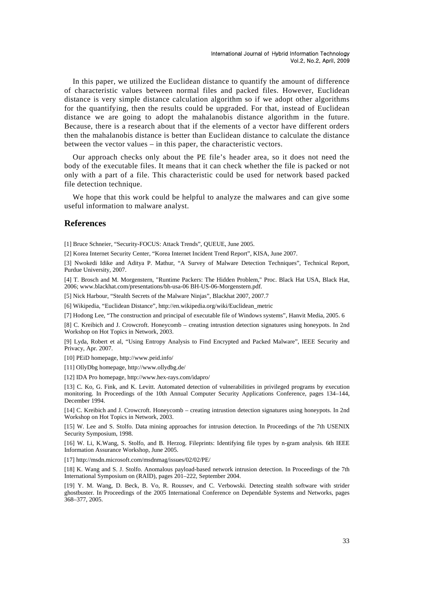In this paper, we utilized the Euclidean distance to quantify the amount of difference of characteristic values between normal files and packed files. However, Euclidean distance is very simple distance calculation algorithm so if we adopt other algorithms for the quantifying, then the results could be upgraded. For that, instead of Euclidean distance we are going to adopt the mahalanobis distance algorithm in the future. Because, there is a research about that if the elements of a vector have different orders then the mahalanobis distance is better than Euclidean distance to calculate the distance between the vector values – in this paper, the characteristic vectors.

Our approach checks only about the PE file's header area, so it does not need the body of the executable files. It means that it can check whether the file is packed or not only with a part of a file. This characteristic could be used for network based packed file detection technique.

We hope that this work could be helpful to analyze the malwares and can give some useful information to malware analyst.

### **References**

[1] Bruce Schneier, "Security-FOCUS: Attack Trends", QUEUE, June 2005.

[2] Korea Internet Security Center, "Korea Internet Incident Trend Report", KISA, June 2007.

[3] Nwokedi Idike and Aditya P. Mathur, "A Survey of Malware Detection Techniques", Technical Report, Purdue University, 2007.

[4] T. Brosch and M. Morgenstern, "Runtime Packers: The Hidden Problem," Proc. Black Hat USA, Black Hat, 2006; www.blackhat.com/presentations/bh-usa-06 BH-US-06-Morgenstern.pdf.

[5] Nick Harbour, "Stealth Secrets of the Malware Ninjas", Blackhat 2007, 2007.7

[6] Wikipedia, "Euclidean Distance", http://en.wikipedia.org/wiki/Euclidean\_metric

[7] Hodong Lee, "The construction and principal of executable file of Windows systems", Hanvit Media, 2005. 6

[8] C. Kreibich and J. Crowcroft. Honeycomb – creating intrustion detection signatures using honeypots. In 2nd Workshop on Hot Topics in Network, 2003.

[9] Lyda, Robert et al, "Using Entropy Analysis to Find Encrypted and Packed Malware", IEEE Security and Privacy, Apr. 2007.

[10] PEiD homepage, http://www.peid.info/

[11] OllyDbg homepage, http://www.ollydbg.de/

[12] IDA Pro homepage, http://www.hex-rays.com/idapro/

[13] C. Ko, G. Fink, and K. Levitt. Automated detection of vulnerabilities in privileged programs by execution monitoring. In Proceedings of the 10th Annual Computer Security Applications Conference, pages 134–144, December 1994.

[14] C. Kreibich and J. Crowcroft. Honeycomb – creating intrustion detection signatures using honeypots. In 2nd Workshop on Hot Topics in Network, 2003.

[15] W. Lee and S. Stolfo. Data mining approaches for intrusion detection. In Proceedings of the 7th USENIX Security Symposium, 1998.

[16] W. Li, K.Wang, S. Stolfo, and B. Herzog. Fileprints: Identifying file types by n-gram analysis. 6th IEEE Information Assurance Workshop, June 2005.

[17] http://msdn.microsoft.com/msdnmag/issues/02/02/PE/

[18] K. Wang and S. J. Stolfo. Anomalous payload-based network intrusion detection. In Proceedings of the 7th International Symposium on (RAID), pages 201–222, September 2004.

[19] Y. M. Wang, D. Beck, B. Vo, R. Roussev, and C. Verbowski. Detecting stealth software with strider ghostbuster. In Proceedings of the 2005 International Conference on Dependable Systems and Networks, pages 368–377, 2005.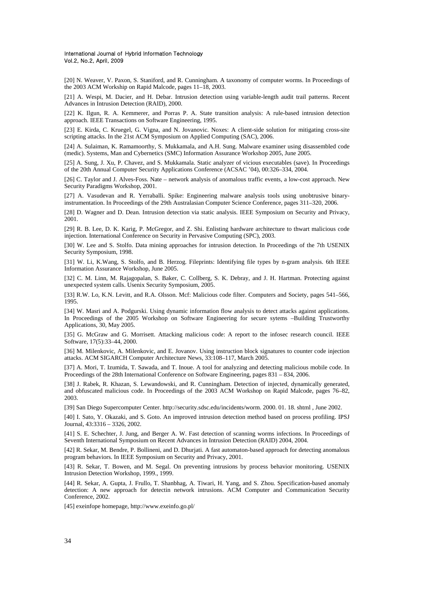[20] N. Weaver, V. Paxon, S. Staniford, and R. Cunningham. A taxonomy of computer worms. In Proceedings of the 2003 ACM Workship on Rapid Malcode, pages 11–18, 2003.

[21] A. Wespi, M. Dacier, and H. Debar. Intrusion detection using variable-length audit trail patterns. Recent Advances in Intrusion Detection (RAID), 2000.

[22] K. Ilgun, R. A. Kemmerer, and Porras P. A. State transition analysis: A rule-based intrusion detection approach. IEEE Transactions on Software Engineering, 1995.

[23] E. Kirda, C. Kruegel, G. Vigna, and N. Jovanovic. Noxes: A client-side solution for mitigating cross-site scripting attacks. In the 21st ACM Symposium on Applied Computing (SAC), 2006.

[24] A. Sulaiman, K. Ramamoorthy, S. Mukkamala, and A.H. Sung. Malware examiner using disassembled code (medic). Systems, Man and Cybernetics (SMC) Information Assurance Workshop 2005, June 2005.

[25] A. Sung, J. Xu, P. Chavez, and S. Mukkamala. Static analyzer of vicious executables (save). In Proceedings of the 20th Annual Computer Security Applications Conference (ACSAC '04), 00:326–334, 2004.

[26] C. Taylor and J. Alves-Foss. Nate – network analysis of anomalous traffic events, a low-cost approach. New Security Paradigms Workshop, 2001.

[27] A. Vasudevan and R. Yerraballi. Spike: Engineering malware analysis tools using unobtrusive binaryinstrumentation. In Proceedings of the 29th Australasian Computer Science Conference, pages 311–320, 2006.

[28] D. Wagner and D. Dean. Intrusion detection via static analysis. IEEE Symposium on Security and Privacy, 2001.

[29] R. B. Lee, D. K. Karig, P. McGregor, and Z. Shi. Enlisting hardware architecture to thwart malicious code injection. International Conference on Security in Pervasive Computing (SPC), 2003.

[30] W. Lee and S. Stolfo. Data mining approaches for intrusion detection. In Proceedings of the 7th USENIX Security Symposium, 1998.

[31] W. Li, K.Wang, S. Stolfo, and B. Herzog. Fileprints: Identifying file types by n-gram analysis. 6th IEEE Information Assurance Workshop, June 2005.

[32] C. M. Linn, M. Rajagopalan, S. Baker, C. Collberg, S. K. Debray, and J. H. Hartman. Protecting against unexpected system calls. Usenix Security Symposium, 2005.

[33] R.W. Lo, K.N. Levitt, and R.A. Olsson. Mcf: Malicious code filter. Computers and Society, pages 541–566, 1995.

[34] W. Masri and A. Podgurski. Using dynamic information flow analysis to detect attacks against applications. In Proceedings of the 2005 Workshop on Software Engineering for secure sytems –Building Trustworthy Applications, 30, May 2005.

[35] G. McGraw and G. Morrisett. Attacking malicious code: A report to the infosec research council. IEEE Software, 17(5):33–44, 2000.

[36] M. Milenkovic, A. Milenkovic, and E. Jovanov. Using instruction block signatures to counter code injection attacks. ACM SIGARCH Computer Architecture News, 33:108–117, March 2005.

[37] A. Mori, T. Izumida, T. Sawada, and T. Inoue. A tool for analyzing and detecting malicious mobile code. In Proceedings of the 28th International Conference on Software Engineering, pages 831 – 834, 2006.

[38] J. Rabek, R. Khazan, S. Lewandowski, and R. Cunningham. Detection of injected, dynamically generated, and obfuscated malicious code. In Proceedings of the 2003 ACM Workshop on Rapid Malcode, pages 76–82, 2003.

[39] San Diego Supercomputer Center. http://security.sdsc.edu/incidents/worm. 2000. 01. 18. shtml , June 2002.

[40] I. Sato, Y. Okazaki, and S. Goto. An improved intrusion detection method based on process profiling. IPSJ Journal, 43:3316 – 3326, 2002.

[41] S. E. Schechter, J. Jung, and Berger A. W. Fast detection of scanning worms infections. In Proceedings of Seventh International Symposium on Recent Advances in Intrusion Detection (RAID) 2004, 2004.

[42] R. Sekar, M. Bendre, P. Bollineni, and D. Dhurjati. A fast automaton-based approach for detecting anomalous program behaviors. In IEEE Symposium on Security and Privacy, 2001.

[43] R. Sekar, T. Bowen, and M. Segal. On preventing intrusions by process behavior monitoring. USENIX Intrusion Detection Workshop, 1999., 1999.

[44] R. Sekar, A. Gupta, J. Frullo, T. Shanbhag, A. Tiwari, H. Yang, and S. Zhou. Specification-based anomaly detection: A new approach for detectin network intrusions. ACM Computer and Communication Security Conference, 2002.

[45] exeinfope homepage, http://www.exeinfo.go.pl/